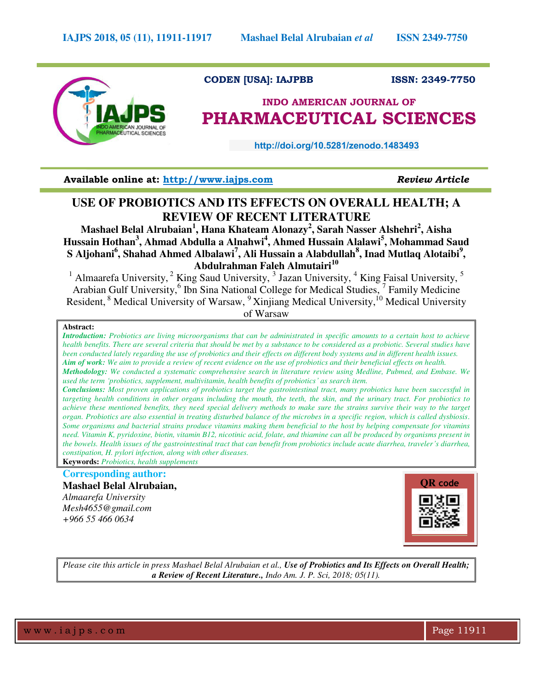

# **CODEN [USA]: IAJPBB ISSN: 2349-7750**

# **INDO AMERICAN JOURNAL OF PHARMACEUTICAL SCIENCES**

 **http://doi.org/10.5281/zenodo.1483493** 

**Available online at: [http://www.iajps.com](http://www.iajps.com/)** *Review Article*

# **USE OF PROBIOTICS AND ITS EFFECTS ON OVERALL HEALTH; A REVIEW OF RECENT LITERATURE**

**Mashael Belal Alrubaian<sup>1</sup> , Hana Khateam Alonazy<sup>2</sup> , Sarah Nasser Alshehri<sup>2</sup> , Aisha Hussain Hothan<sup>3</sup> , Ahmad Abdulla a Alnahwi<sup>4</sup> , Ahmed Hussain Alalawi<sup>5</sup> , Mohammad Saud S Aljohani<sup>6</sup> , Shahad Ahmed Albalawi<sup>7</sup> , Ali Hussain a Alabdullah<sup>8</sup> , Inad Mutlaq Alotaibi<sup>9</sup> , Abdulrahman Faleh Almutairi<sup>10</sup>**

<sup>1</sup> Almaarefa University,  $2$  King Saud University,  $3$  Jazan University,  $4$  King Faisal University,  $5$ Arabian Gulf University,<sup>6</sup> Ibn Sina National College for Medical Studies, <sup>7</sup> Family Medicine Resident, <sup>8</sup> Medical University of Warsaw, <sup>9</sup>Xinjiang Medical University, <sup>10</sup> Medical University of Warsaw

#### **Abstract:**

*Introduction: Probiotics are living microorganisms that can be administrated in specific amounts to a certain host to achieve health benefits. There are several criteria that should be met by a substance to be considered as a probiotic. Several studies have been conducted lately regarding the use of probiotics and their effects on different body systems and in different health issues. Aim of work: We aim to provide a review of recent evidence on the use of probiotics and their beneficial effects on health. Methodology: We conducted a systematic comprehensive search in literature review using Medline, Pubmed, and Embase. We* 

*used the term 'probiotics, supplement, multivitamin, health benefits of probiotics' as search item. Conclusions: Most proven applications of probiotics target the gastrointestinal tract, many probiotics have been successful in targeting health conditions in other organs including the mouth, the teeth, the skin, and the urinary tract. For probiotics to achieve these mentioned benefits, they need special delivery methods to make sure the strains survive their way to the target organ. Probiotics are also essential in treating disturbed balance of the microbes in a specific region, which is called dysbiosis. Some organisms and bacterial strains produce vitamins making them beneficial to the host by helping compensate for vitamins need. Vitamin K, pyridoxine, biotin, vitamin B12, nicotinic acid, folate, and thiamine can all be produced by organisms present in the bowels. Health issues of the gastrointestinal tract that can benefit from probiotics include acute diarrhea, traveler's diarrhea, constipation, H. pylori infection, along with other diseases.*

**Keywords:** *Probiotics, health supplements*

# **Corresponding author:**

**Mashael Belal Alrubaian,**  *Almaarefa University Mesh4655@gmail.com +966 55 466 0634* 



*Please cite this article in press Mashael Belal Alrubaian et al., Use of Probiotics and Its Effects on Overall Health; a Review of Recent Literature., Indo Am. J. P. Sci, 2018; 05(11).*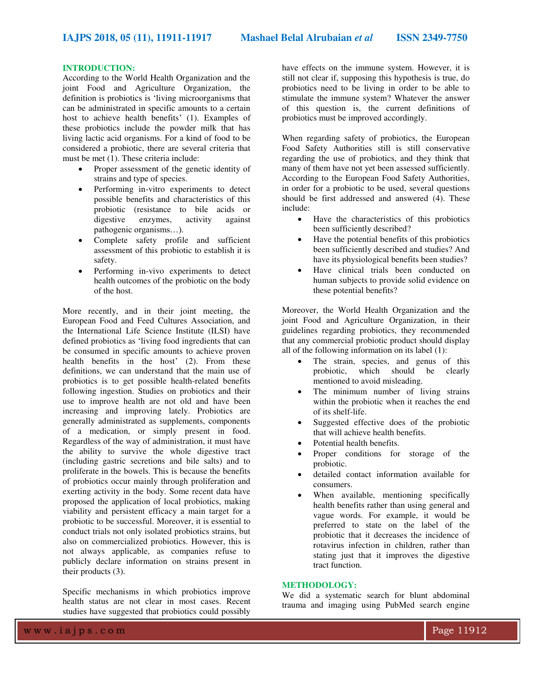#### **INTRODUCTION:**

According to the World Health Organization and the joint Food and Agriculture Organization, the definition is probiotics is 'living microorganisms that can be administrated in specific amounts to a certain host to achieve health benefits' (1). Examples of these probiotics include the powder milk that has living lactic acid organisms. For a kind of food to be considered a probiotic, there are several criteria that must be met (1). These criteria include:

- Proper assessment of the genetic identity of strains and type of species.
- Performing in-vitro experiments to detect possible benefits and characteristics of this probiotic (resistance to bile acids or digestive enzymes, activity against pathogenic organisms…).
- Complete safety profile and sufficient assessment of this probiotic to establish it is safety.
- Performing in-vivo experiments to detect health outcomes of the probiotic on the body of the host.

More recently, and in their joint meeting, the European Food and Feed Cultures Association, and the International Life Science Institute (ILSI) have defined probiotics as 'living food ingredients that can be consumed in specific amounts to achieve proven health benefits in the host' (2). From these definitions, we can understand that the main use of probiotics is to get possible health-related benefits following ingestion. Studies on probiotics and their use to improve health are not old and have been increasing and improving lately. Probiotics are generally administrated as supplements, components of a medication, or simply present in food. Regardless of the way of administration, it must have the ability to survive the whole digestive tract (including gastric secretions and bile salts) and to proliferate in the bowels. This is because the benefits of probiotics occur mainly through proliferation and exerting activity in the body. Some recent data have proposed the application of local probiotics, making viability and persistent efficacy a main target for a probiotic to be successful. Moreover, it is essential to conduct trials not only isolated probiotics strains, but also on commercialized probiotics. However, this is not always applicable, as companies refuse to publicly declare information on strains present in their products (3).

Specific mechanisms in which probiotics improve health status are not clear in most cases. Recent studies have suggested that probiotics could possibly have effects on the immune system. However, it is still not clear if, supposing this hypothesis is true, do probiotics need to be living in order to be able to stimulate the immune system? Whatever the answer of this question is, the current definitions of probiotics must be improved accordingly.

When regarding safety of probiotics, the European Food Safety Authorities still is still conservative regarding the use of probiotics, and they think that many of them have not yet been assessed sufficiently. According to the European Food Safety Authorities, in order for a probiotic to be used, several questions should be first addressed and answered (4). These include:

- Have the characteristics of this probiotics been sufficiently described?
- Have the potential benefits of this probiotics been sufficiently described and studies? And have its physiological benefits been studies?
- Have clinical trials been conducted on human subjects to provide solid evidence on these potential benefits?

Moreover, the World Health Organization and the joint Food and Agriculture Organization, in their guidelines regarding probiotics, they recommended that any commercial probiotic product should display all of the following information on its label (1):

- The strain, species, and genus of this probiotic, which should be clearly mentioned to avoid misleading.
- The minimum number of living strains within the probiotic when it reaches the end of its shelf-life.
- Suggested effective does of the probiotic that will achieve health benefits.
- Potential health benefits.
- Proper conditions for storage of the probiotic.
- detailed contact information available for consumers.
- When available, mentioning specifically health benefits rather than using general and vague words. For example, it would be preferred to state on the label of the probiotic that it decreases the incidence of rotavirus infection in children, rather than stating just that it improves the digestive tract function.

## **METHODOLOGY:**

We did a systematic search for blunt abdominal trauma and imaging using PubMed search engine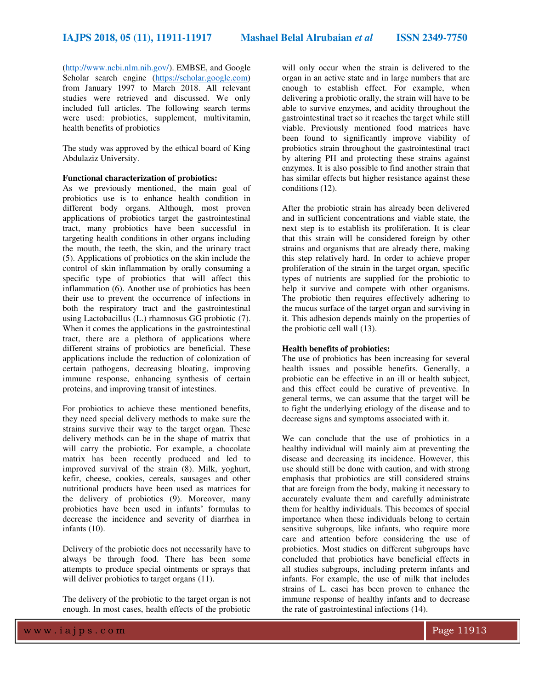[\(http://www.ncbi.nlm.nih.gov/\)](http://www.ncbi.nlm.nih.gov/). EMBSE, and Google Scholar search engine [\(https://scholar.google.com\)](https://scholar.google.com/) from January 1997 to March 2018. All relevant studies were retrieved and discussed. We only included full articles. The following search terms were used: probiotics, supplement, multivitamin, health benefits of probiotics

The study was approved by the ethical board of King Abdulaziz University.

#### **Functional characterization of probiotics:**

As we previously mentioned, the main goal of probiotics use is to enhance health condition in different body organs. Although, most proven applications of probiotics target the gastrointestinal tract, many probiotics have been successful in targeting health conditions in other organs including the mouth, the teeth, the skin, and the urinary tract (5). Applications of probiotics on the skin include the control of skin inflammation by orally consuming a specific type of probiotics that will affect this inflammation (6). Another use of probiotics has been their use to prevent the occurrence of infections in both the respiratory tract and the gastrointestinal using Lactobacillus (L.) rhamnosus GG probiotic (7). When it comes the applications in the gastrointestinal tract, there are a plethora of applications where different strains of probiotics are beneficial. These applications include the reduction of colonization of certain pathogens, decreasing bloating, improving immune response, enhancing synthesis of certain proteins, and improving transit of intestines.

For probiotics to achieve these mentioned benefits, they need special delivery methods to make sure the strains survive their way to the target organ. These delivery methods can be in the shape of matrix that will carry the probiotic. For example, a chocolate matrix has been recently produced and led to improved survival of the strain (8). Milk, yoghurt, kefir, cheese, cookies, cereals, sausages and other nutritional products have been used as matrices for the delivery of probiotics (9). Moreover, many probiotics have been used in infants' formulas to decrease the incidence and severity of diarrhea in infants (10).

Delivery of the probiotic does not necessarily have to always be through food. There has been some attempts to produce special ointments or sprays that will deliver probiotics to target organs  $(11)$ .

The delivery of the probiotic to the target organ is not enough. In most cases, health effects of the probiotic will only occur when the strain is delivered to the organ in an active state and in large numbers that are enough to establish effect. For example, when delivering a probiotic orally, the strain will have to be able to survive enzymes, and acidity throughout the gastrointestinal tract so it reaches the target while still viable. Previously mentioned food matrices have been found to significantly improve viability of probiotics strain throughout the gastrointestinal tract by altering PH and protecting these strains against enzymes. It is also possible to find another strain that has similar effects but higher resistance against these conditions (12).

After the probiotic strain has already been delivered and in sufficient concentrations and viable state, the next step is to establish its proliferation. It is clear that this strain will be considered foreign by other strains and organisms that are already there, making this step relatively hard. In order to achieve proper proliferation of the strain in the target organ, specific types of nutrients are supplied for the probiotic to help it survive and compete with other organisms. The probiotic then requires effectively adhering to the mucus surface of the target organ and surviving in it. This adhesion depends mainly on the properties of the probiotic cell wall (13).

#### **Health benefits of probiotics:**

The use of probiotics has been increasing for several health issues and possible benefits. Generally, a probiotic can be effective in an ill or health subject, and this effect could be curative of preventive. In general terms, we can assume that the target will be to fight the underlying etiology of the disease and to decrease signs and symptoms associated with it.

We can conclude that the use of probiotics in a healthy individual will mainly aim at preventing the disease and decreasing its incidence. However, this use should still be done with caution, and with strong emphasis that probiotics are still considered strains that are foreign from the body, making it necessary to accurately evaluate them and carefully administrate them for healthy individuals. This becomes of special importance when these individuals belong to certain sensitive subgroups, like infants, who require more care and attention before considering the use of probiotics. Most studies on different subgroups have concluded that probiotics have beneficial effects in all studies subgroups, including preterm infants and infants. For example, the use of milk that includes strains of L. casei has been proven to enhance the immune response of healthy infants and to decrease the rate of gastrointestinal infections (14).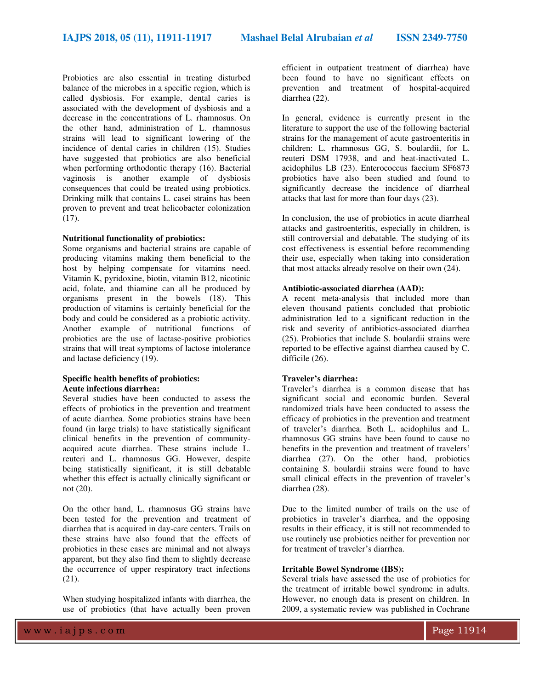Probiotics are also essential in treating disturbed balance of the microbes in a specific region, which is called dysbiosis. For example, dental caries is associated with the development of dysbiosis and a decrease in the concentrations of L. rhamnosus. On the other hand, administration of L. rhamnosus strains will lead to significant lowering of the incidence of dental caries in children (15). Studies have suggested that probiotics are also beneficial when performing orthodontic therapy (16). Bacterial vaginosis is another example of dysbiosis consequences that could be treated using probiotics. Drinking milk that contains L. casei strains has been proven to prevent and treat helicobacter colonization  $(17)$ .

#### **Nutritional functionality of probiotics:**

Some organisms and bacterial strains are capable of producing vitamins making them beneficial to the host by helping compensate for vitamins need. Vitamin K, pyridoxine, biotin, vitamin B12, nicotinic acid, folate, and thiamine can all be produced by organisms present in the bowels (18). This production of vitamins is certainly beneficial for the body and could be considered as a probiotic activity. Another example of nutritional functions of probiotics are the use of lactase-positive probiotics strains that will treat symptoms of lactose intolerance and lactase deficiency (19).

#### **Specific health benefits of probiotics: Acute infectious diarrhea:**

Several studies have been conducted to assess the effects of probiotics in the prevention and treatment of acute diarrhea. Some probiotics strains have been found (in large trials) to have statistically significant clinical benefits in the prevention of communityacquired acute diarrhea. These strains include L. reuteri and L. rhamnosus GG. However, despite being statistically significant, it is still debatable whether this effect is actually clinically significant or not (20).

On the other hand, L. rhamnosus GG strains have been tested for the prevention and treatment of diarrhea that is acquired in day-care centers. Trails on these strains have also found that the effects of probiotics in these cases are minimal and not always apparent, but they also find them to slightly decrease the occurrence of upper respiratory tract infections (21).

When studying hospitalized infants with diarrhea, the use of probiotics (that have actually been proven

efficient in outpatient treatment of diarrhea) have been found to have no significant effects on prevention and treatment of hospital-acquired diarrhea (22).

In general, evidence is currently present in the literature to support the use of the following bacterial strains for the management of acute gastroenteritis in children: L. rhamnosus GG, S. boulardii, for L. reuteri DSM 17938, and and heat-inactivated L. acidophilus LB (23). Enterococcus faecium SF6873 probiotics have also been studied and found to significantly decrease the incidence of diarrheal attacks that last for more than four days (23).

In conclusion, the use of probiotics in acute diarrheal attacks and gastroenteritis, especially in children, is still controversial and debatable. The studying of its cost effectiveness is essential before recommending their use, especially when taking into consideration that most attacks already resolve on their own (24).

#### **Antibiotic-associated diarrhea (AAD):**

A recent meta-analysis that included more than eleven thousand patients concluded that probiotic administration led to a significant reduction in the risk and severity of antibiotics-associated diarrhea (25). Probiotics that include S. boulardii strains were reported to be effective against diarrhea caused by C. difficile (26).

## **Traveler's diarrhea:**

Traveler's diarrhea is a common disease that has significant social and economic burden. Several randomized trials have been conducted to assess the efficacy of probiotics in the prevention and treatment of traveler's diarrhea. Both L. acidophilus and L. rhamnosus GG strains have been found to cause no benefits in the prevention and treatment of travelers' diarrhea (27). On the other hand, probiotics containing S. boulardii strains were found to have small clinical effects in the prevention of traveler's diarrhea (28).

Due to the limited number of trails on the use of probiotics in traveler's diarrhea, and the opposing results in their efficacy, it is still not recommended to use routinely use probiotics neither for prevention nor for treatment of traveler's diarrhea.

#### **Irritable Bowel Syndrome (IBS):**

Several trials have assessed the use of probiotics for the treatment of irritable bowel syndrome in adults. However, no enough data is present on children. In 2009, a systematic review was published in Cochrane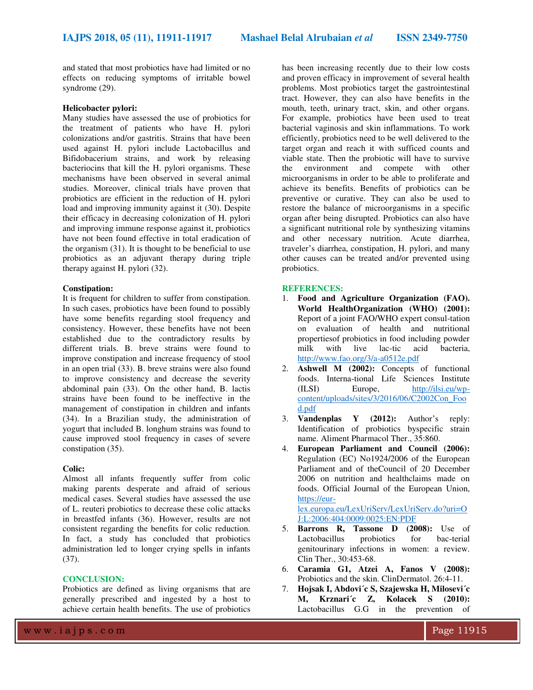and stated that most probiotics have had limited or no effects on reducing symptoms of irritable bowel syndrome (29).

#### **Helicobacter pylori:**

Many studies have assessed the use of probiotics for the treatment of patients who have H. pylori colonizations and/or gastritis. Strains that have been used against H. pylori include Lactobacillus and Bifidobacerium strains, and work by releasing bacteriocins that kill the H. pylori organisms. These mechanisms have been observed in several animal studies. Moreover, clinical trials have proven that probiotics are efficient in the reduction of H. pylori load and improving immunity against it (30). Despite their efficacy in decreasing colonization of H. pylori and improving immune response against it, probiotics have not been found effective in total eradication of the organism (31). It is thought to be beneficial to use probiotics as an adjuvant therapy during triple therapy against H. pylori (32).

#### **Constipation:**

It is frequent for children to suffer from constipation. In such cases, probiotics have been found to possibly have some benefits regarding stool frequency and consistency. However, these benefits have not been established due to the contradictory results by different trials. B. breve strains were found to improve constipation and increase frequency of stool in an open trial (33). B. breve strains were also found to improve consistency and decrease the severity abdominal pain (33). On the other hand, B. lactis strains have been found to be ineffective in the management of constipation in children and infants (34). In a Brazilian study, the administration of yogurt that included B. longhum strains was found to cause improved stool frequency in cases of severe constipation (35).

#### **Colic:**

Almost all infants frequently suffer from colic making parents desperate and afraid of serious medical cases. Several studies have assessed the use of L. reuteri probiotics to decrease these colic attacks in breastfed infants (36). However, results are not consistent regarding the benefits for colic reduction. In fact, a study has concluded that probiotics administration led to longer crying spells in infants (37).

#### **CONCLUSION:**

Probiotics are defined as living organisms that are generally prescribed and ingested by a host to achieve certain health benefits. The use of probiotics has been increasing recently due to their low costs and proven efficacy in improvement of several health problems. Most probiotics target the gastrointestinal tract. However, they can also have benefits in the mouth, teeth, urinary tract, skin, and other organs. For example, probiotics have been used to treat bacterial vaginosis and skin inflammations. To work efficiently, probiotics need to be well delivered to the target organ and reach it with sufficed counts and viable state. Then the probiotic will have to survive the environment and compete with other microorganisms in order to be able to proliferate and achieve its benefits. Benefits of probiotics can be preventive or curative. They can also be used to restore the balance of microorganisms in a specific organ after being disrupted. Probiotics can also have a significant nutritional role by synthesizing vitamins and other necessary nutrition. Acute diarrhea, traveler's diarrhea, constipation, H. pylori, and many other causes can be treated and/or prevented using probiotics.

#### **REFERENCES:**

- 1. **Food and Agriculture Organization (FAO). World HealthOrganization (WHO) (2001):** Report of a joint FAO/WHO expert consul-tation on evaluation of health and nutritional propertiesof probiotics in food including powder milk with live lac-tic acid bacteria, <http://www.fao.org/3/a-a0512e.pdf>
- 2. **Ashwell M (2002):** Concepts of functional foods. Interna-tional Life Sciences Institute (ILSI) Europe, [http://ilsi.eu/wp](http://ilsi.eu/wp-content/uploads/sites/3/2016/06/C2002Con_Food.pdf)[content/uploads/sites/3/2016/06/C2002Con\\_Foo](http://ilsi.eu/wp-content/uploads/sites/3/2016/06/C2002Con_Food.pdf) [d.pdf](http://ilsi.eu/wp-content/uploads/sites/3/2016/06/C2002Con_Food.pdf)
- 3. **Vandenplas Y (2012):** Author's reply: Identification of probiotics byspecific strain name. Aliment Pharmacol Ther., 35:860.
- 4. **European Parliament and Council (2006):** Regulation (EC) No1924/2006 of the European Parliament and of theCouncil of 20 December 2006 on nutrition and healthclaims made on foods. Official Journal of the European Union, [https://eur-](https://eur-lex.europa.eu/LexUriServ/LexUriServ.do?uri=OJ:L:2006:404:0009:0025:EN:PDF)

[lex.europa.eu/LexUriServ/LexUriServ.do?uri=O](https://eur-lex.europa.eu/LexUriServ/LexUriServ.do?uri=OJ:L:2006:404:0009:0025:EN:PDF) [J:L:2006:404:0009:0025:EN:PDF](https://eur-lex.europa.eu/LexUriServ/LexUriServ.do?uri=OJ:L:2006:404:0009:0025:EN:PDF) 

- 5. **Barrons R, Tassone D (2008):** Use of Lactobacillus probiotics for bac-terial genitourinary infections in women: a review. Clin Ther., 30:453-68.
- 6. **Caramia G1, Atzei A, Fanos V (2008):** Probiotics and the skin. ClinDermatol. 26:4-11.
- 7. **Hojsak I, Abdovi´c S, Szajewska H, Milosevi´c M, Krznari´c Z, Kolacek S (2010):**  Lactobacillus G.G in the prevention of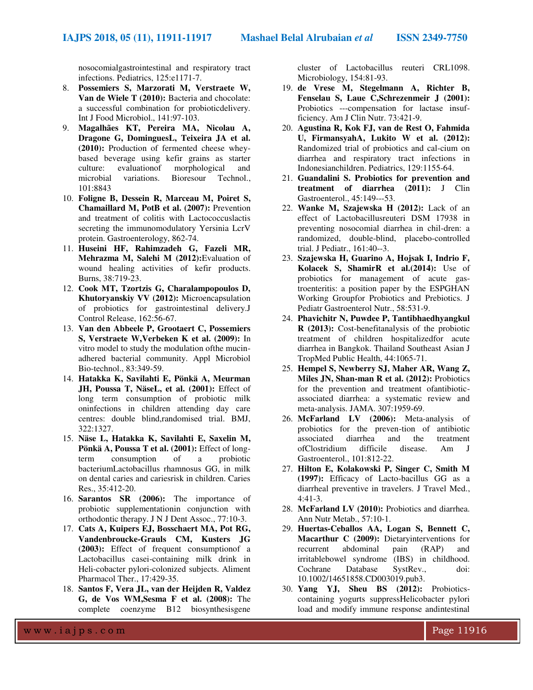nosocomialgastrointestinal and respiratory tract infections. Pediatrics, 125:e1171-7.

- 8. **Possemiers S, Marzorati M, Verstraete W, Van de Wiele T (2010):** Bacteria and chocolate: a successful combination for probioticdelivery. Int J Food Microbiol., 141:97-103.
- 9. **Magalhães KT, Pereira MA, Nicolau A, Dragone G, DominguesL, Teixeira JA et al. (2010):** Production of fermented cheese wheybased beverage using kefir grains as starter culture: evaluationof morphological and microbial variations. Bioresour Technol., 101:8843
- 10. **Foligne B, Dessein R, Marceau M, Poiret S, Chamaillard M, PotB et al. (2007):** Prevention and treatment of colitis with Lactococcuslactis secreting the immunomodulatory Yersinia LcrV protein. Gastroenterology, 862-74.
- 11. **Huseini HF, Rahimzadeh G, Fazeli MR, Mehrazma M, Salehi M (2012):**Evaluation of wound healing activities of kefir products. Burns, 38:719-23.
- 12. **Cook MT, Tzortzis G, Charalampopoulos D, Khutoryanskiy VV (2012):** Microencapsulation of probiotics for gastrointestinal delivery.J Control Release, 162:56-67.
- 13. **Van den Abbeele P, Grootaert C, Possemiers S, Verstraete W,Verbeken K et al. (2009):** In vitro model to study the modulation ofthe mucinadhered bacterial community. Appl Microbiol Bio-technol., 83:349-59.
- 14. **Hatakka K, Savilahti E, Pönkä A, Meurman JH, Poussa T, NäseL, et al. (2001):** Effect of long term consumption of probiotic milk oninfections in children attending day care centres: double blind,randomised trial. BMJ, 322:1327.
- 15. **Näse L, Hatakka K, Savilahti E, Saxelin M, Pönkä A, Poussa T et al. (2001):** Effect of long-<br>term consumption of a probiotic term consumption of a bacteriumLactobacillus rhamnosus GG, in milk on dental caries and cariesrisk in children. Caries Res., 35:412-20.
- 16. **Sarantos SR (2006):** The importance of probiotic supplementationin conjunction with orthodontic therapy. J N J Dent Assoc., 77:10-3.
- 17. **Cats A, Kuipers EJ, Bosschaert MA, Pot RG, Vandenbroucke-Grauls CM, Kusters JG (2003):** Effect of frequent consumptionof a Lactobacillus casei-containing milk drink in Heli-cobacter pylori-colonized subjects. Aliment Pharmacol Ther., 17:429-35.
- 18. **Santos F, Vera JL, van der Heijden R, Valdez G, de Vos WM,Sesma F et al. (2008):** The complete coenzyme B12 biosynthesisgene

cluster of Lactobacillus reuteri CRL1098. Microbiology, 154:81-93.

- 19. **de Vrese M, Stegelmann A, Richter B, Fenselau S, Laue C,Schrezenmeir J (2001):**  Probiotics ---compensation for lactase insufficiency. Am J Clin Nutr. 73:421-9.
- 20. **Agustina R, Kok FJ, van de Rest O, Fahmida U, FirmansyahA, Lukito W et al. (2012):** Randomized trial of probiotics and cal-cium on diarrhea and respiratory tract infections in Indonesianchildren. Pediatrics, 129:1155-64.
- 21. **Guandalini S. Probiotics for prevention and treatment of diarrhea (2011):** J Clin Gastroenterol., 45:149---53.
- 22. **Wanke M, Szajewska H (2012):** Lack of an effect of Lactobacillusreuteri DSM 17938 in preventing nosocomial diarrhea in chil-dren: a randomized, double-blind, placebo-controlled trial. J Pediatr., 161:40--3.
- 23. **Szajewska H, Guarino A, Hojsak I, Indrio F, Kolacek S, ShamirR et al.(2014):** Use of probiotics for management of acute gastroenteritis: a position paper by the ESPGHAN Working Groupfor Probiotics and Prebiotics. J Pediatr Gastroenterol Nutr., 58:531-9.
- 24. **Phavichitr N, Puwdee P, Tantibhaedhyangkul R (2013):** Cost-benefitanalysis of the probiotic treatment of children hospitalizedfor acute diarrhea in Bangkok. Thailand Southeast Asian J TropMed Public Health, 44:1065-71.
- 25. **Hempel S, Newberry SJ, Maher AR, Wang Z, Miles JN, Shan-man R et al. (2012):** Probiotics for the prevention and treatment ofantibioticassociated diarrhea: a systematic review and meta-analysis. JAMA. 307:1959-69.
- 26. **McFarland LV (2006):** Meta-analysis of probiotics for the preven-tion of antibiotic associated diarrhea and the treatment ofClostridium difficile disease. Am J Gastroenterol., 101:812-22.
- 27. **Hilton E, Kolakowski P, Singer C, Smith M (1997):** Efficacy of Lacto-bacillus GG as a diarrheal preventive in travelers. J Travel Med., 4:41-3.
- 28. **McFarland LV (2010):** Probiotics and diarrhea. Ann Nutr Metab., 57:10-1.
- 29. **Huertas-Ceballos AA, Logan S, Bennett C, Macarthur C (2009):** Dietaryinterventions for recurrent abdominal pain (RAP) and irritablebowel syndrome (IBS) in childhood. Cochrane Database SystRev., doi: 10.1002/14651858.CD003019.pub3.
- 30. **Yang YJ, Sheu BS (2012):** Probioticscontaining yogurts suppressHelicobacter pylori load and modify immune response andintestinal